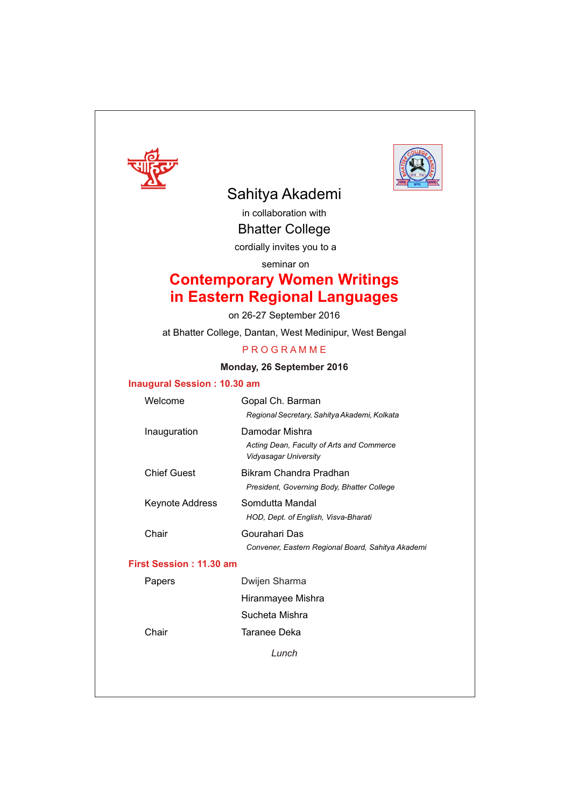



# Sahitya Akademi

in collaboration with Bhatter College

cordially invites you to a

seminar on

# **Contemporary Women Writings in Eastern Regional Languages**

on 26-27 September 2016

at Bhatter College, Dantan, West Medinipur, West Bengal

#### **P R O G R A M M E**

#### **Monday, 26 September 2016**

#### **Inaugural Session : 10.30 am**

| Welcome                 | Gopal Ch. Barman                                                   |
|-------------------------|--------------------------------------------------------------------|
|                         | Regional Secretary, Sahitya Akademi, Kolkata                       |
| Inauguration            | Damodar Mishra                                                     |
|                         | Acting Dean, Faculty of Arts and Commerce<br>Vidyasagar University |
| Chief Guest             | Bikram Chandra Pradhan                                             |
|                         | President, Governing Body, Bhatter College                         |
| Keynote Address         | Somdutta Mandal                                                    |
|                         | HOD, Dept. of English, Visva-Bharati                               |
| Chair                   | Gourahari Das                                                      |
|                         | Convener, Eastern Regional Board, Sahitya Akademi                  |
| First Session: 11.30 am |                                                                    |
| Papers                  | Dwijen Sharma                                                      |
|                         | Hiranmayee Mishra                                                  |
|                         | Sucheta Mishra                                                     |
| Chair                   | Taranee Deka                                                       |
|                         |                                                                    |

*Lunch*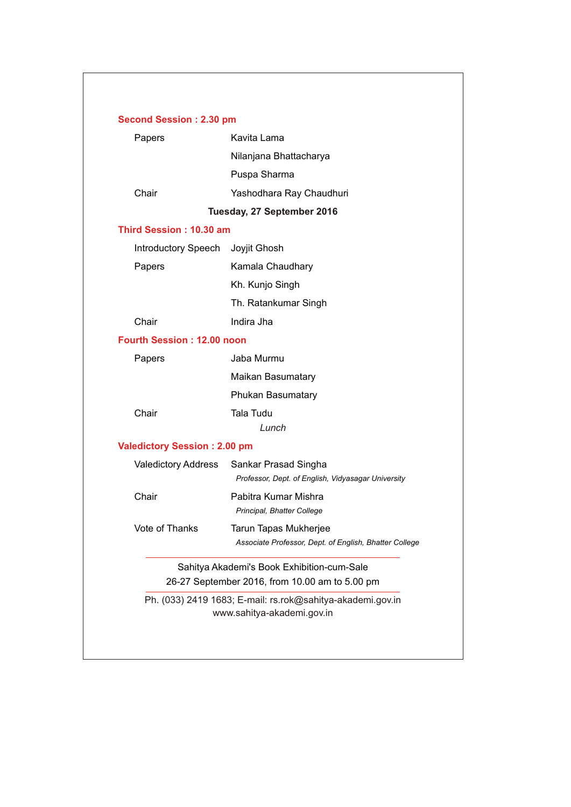| Papers                              | Kavita Lama                                                                              |
|-------------------------------------|------------------------------------------------------------------------------------------|
|                                     | Nilanjana Bhattacharya                                                                   |
|                                     | Puspa Sharma                                                                             |
| Chair                               | Yashodhara Ray Chaudhuri                                                                 |
|                                     | Tuesday, 27 September 2016                                                               |
| Third Session: 10.30 am             |                                                                                          |
| Introductory Speech                 | Joyjit Ghosh                                                                             |
| Papers                              | Kamala Chaudhary                                                                         |
|                                     | Kh. Kunjo Singh                                                                          |
|                                     | Th. Ratankumar Singh                                                                     |
| Chair                               | Indira Jha                                                                               |
| <b>Fourth Session: 12.00 noon</b>   |                                                                                          |
| Papers                              | Jaba Murmu                                                                               |
|                                     | Maikan Basumatary                                                                        |
|                                     | Phukan Basumatary                                                                        |
| Chair                               | <b>Tala Tudu</b>                                                                         |
|                                     | Lunch                                                                                    |
| <b>Valedictory Session: 2.00 pm</b> |                                                                                          |
| Valedictory Address                 | Sankar Prasad Singha                                                                     |
|                                     | Professor, Dept. of English, Vidyasagar University                                       |
| Chair                               | Pabitra Kumar Mishra<br>Principal, Bhatter College                                       |
| Vote of Thanks                      | Tarun Tapas Mukherjee                                                                    |
|                                     | Associate Professor, Dept. of English, Bhatter College                                   |
|                                     | Sahitya Akademi's Book Exhibition-cum-Sale                                               |
|                                     | 26-27 September 2016, from 10.00 am to 5.00 pm                                           |
|                                     | Ph. (033) 2419 1683; E-mail: rs.rok@sahitya-akademi.gov.in<br>www.sahitya-akademi.gov.in |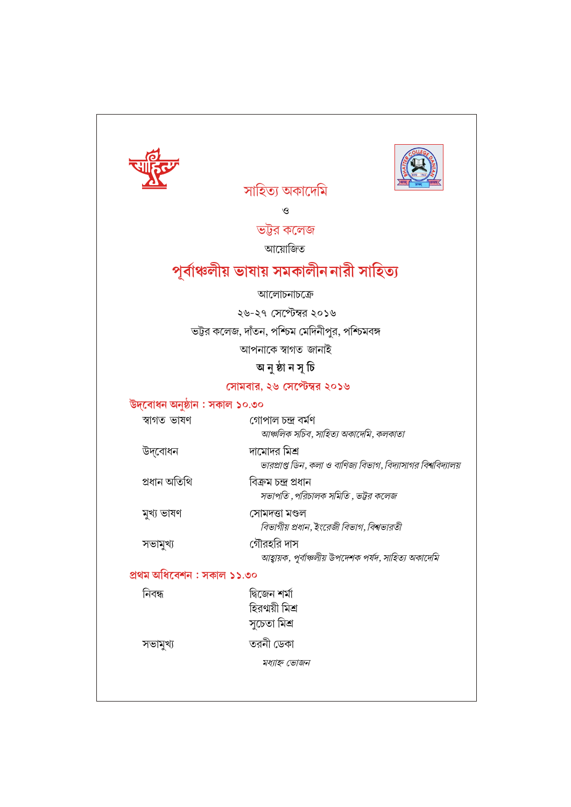

 $\mathcal{O}$ 

সাহিত্য অকাদেমি

ভট্টর কলেজ

আয়োজিত

# পূৰ্বাঞ্চলীয় ভাষায় সমকালীন নারী সাহিত্য

#### আলোচনাচক্ৰে

২৬-২৭ সেপ্টেম্বর ২০১৬

ভট্টর কলেজ, দাঁতন, পশ্চিম মেদিনীপুর, পশ্চিমবঙ্গ

আপনাকে স্বাগত জানাই

## অ নুষ্ঠা ন সূ চি

#### সোমবার, ২৬ সেপ্টেম্বর ২০১৬

উদ্বোধন অনুষ্ঠান : সকাল ১০.৩০

| স্বাগত ভাষণ | গোপাল চন্দ্ৰ বৰ্মণ                    |
|-------------|---------------------------------------|
|             | আঞ্চলিক সচিব, সাহিত্য অকাদেমি, কলকাতা |

উদ্বোধন দামোদর মিশ্র ভারপ্রাপ্ত ডিন, কলা ও বাণিজ্য বিভাগ, বিদ্যাসাগর বিশ্ববিদ্যালয়

প্ৰধান অতিথি বিক্ৰম চন্দ্ৰ প্ৰধান সভাপতি ,পরিচালক সমিতি , ভট্টর কলেজ

মুখ্য ভাষণ সোমদত্তা মণ্ডল বিভাগীয় প্রধান, ইংরেজী বিভাগ, বিশ্বভারতী

> গৌরহরি দাস আহ্বায়ক, পূর্বাঞ্চলীয় উপদেশক পর্যদ, সাহিত্য অকাদেমি

### প্ৰথম অধিবেশন : সকাল ১১.৩০

নিবন্ধ দ্বিজেন শৰ্মা হিরণায়ী মিশ্র সুচেতা মিশ্ৰ

সভামুখ্য

সভামুখ্য

তরনী ডেকা

মধ্যাহ্ন ভোজন